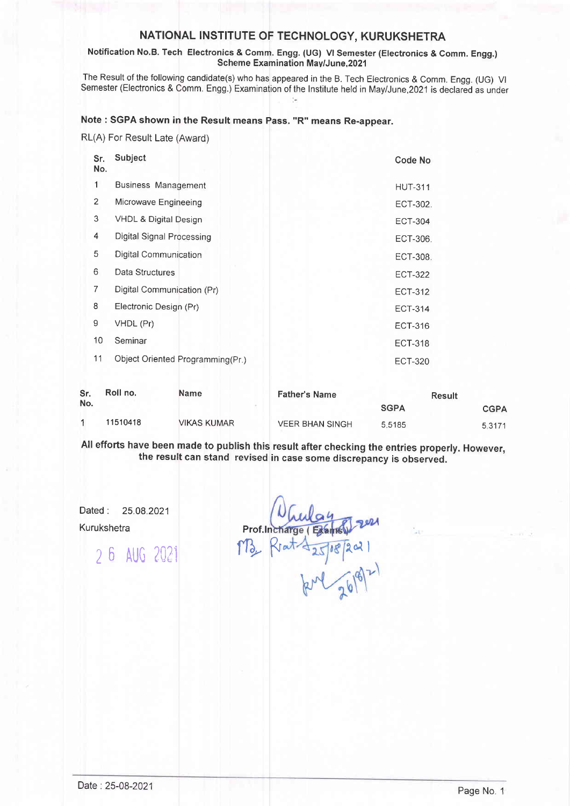## NATIONAL INSTITUTE OF TECHNOLOGY, KURUKSHETRA

### Notification No.B. Tech Electronics & Comm. Engg. (UG) Vl Semester (Electronics & Comm. Engg.) Scherme Examination Mav/June,2021

The Result of the following candidate(s) who has appeared in the B. Tech Electronics & Comm. Engg. (UG) VI Semester (Electronics & Comm, Engg.) Examination of the lnstitute held in May/June,2021 is declared as under

# Note : SGPA shown in the Result means Pass. "R" means Re-appear.

RL(A) For Result Late (Award)

| Sr.<br>No.     | Subject                          | Code No        |
|----------------|----------------------------------|----------------|
| 1              | <b>Business Management</b>       | <b>HUT-311</b> |
| $\overline{2}$ | Microwave Engineeing             | ECT-302.       |
| 3              | VHDL & Digital Design            | <b>ECT-304</b> |
| 4              | Digital Signal Processing        | ECT-306.       |
| 5              | Digital Communication            | ECT-308.       |
| 6              | Data Structures                  | <b>ECT-322</b> |
| 7              | Digital Communication (Pr)       | ECT-312        |
| 8              | Electronic Design (Pr)           | <b>ECT-314</b> |
| 9              | VHDL (Pr)                        | ECT-316        |
| 10             | Seminar                          | <b>ECT-318</b> |
| 11             | Object Oriented Programming(Pr.) | <b>ECT-320</b> |

| Sr.<br>No. | Roll no. | <b>Name</b> | <b>Father's Name</b>   | <b>Result</b> |             |
|------------|----------|-------------|------------------------|---------------|-------------|
|            |          |             |                        | <b>SGPA</b>   | <b>CGPA</b> |
|            | 11510418 | VIKAS KUMAR | <b>VEER BHAN SINGH</b> | 5.5185        | 5.3171      |

All efforts have been made to publish this result after checking the entries properly. However, the result can stand revised in case some discrepancy is observed.

Dated : 25.08.2021 Kurukshetra

<sup>2</sup>6 AUo ?021

M3, Rent 25/18/2021 Prof.ln